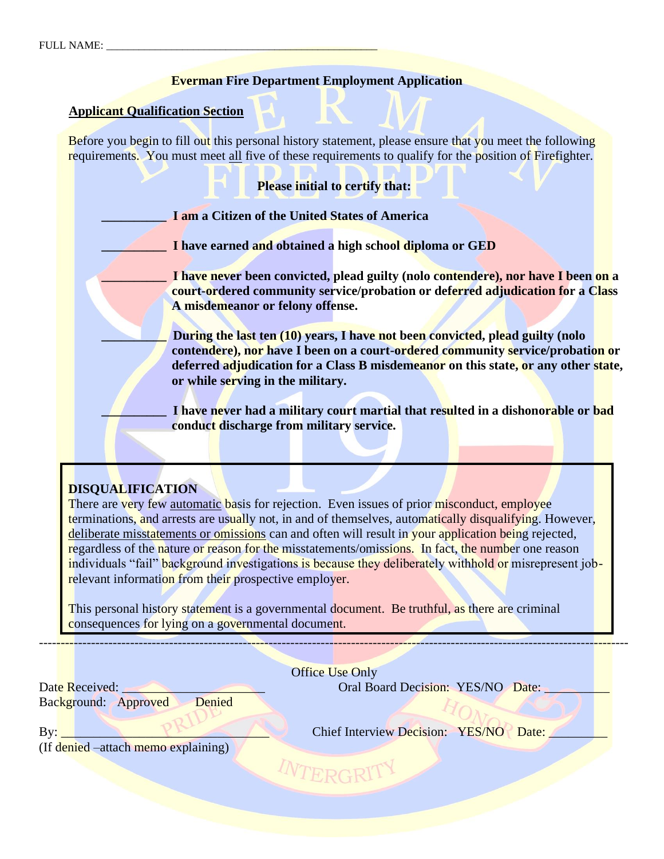## **Everman Fire Department Employment Application**

### **Applicant Qualification Section**

Before you begin to fill out this personal history statement, please ensure that you meet the following requirements. You must meet all five of these requirements to qualify for the position of Firefighter.

**Please initial to certify that:**

**\_\_\_\_\_\_\_\_\_\_ I am a Citizen of the United States of America**

**\_\_\_\_\_\_\_\_\_\_ I have earned and obtained a high school diploma or GED**

**\_\_\_\_\_\_\_\_\_\_ I have never been convicted, plead guilty (nolo contendere), nor have I been on a court-ordered community service/probation or deferred adjudication for a Class A misdemeanor or felony offense.**

**During the last ten (10) years, I have not been convicted, plead guilty (nolo contendere), nor have I been on a court-ordered community service/probation or deferred adjudication for a Class B misdemeanor on this state, or any other state, or while serving in the military.** 

I have never had a military court martial that resulted in a dishonorable or bad **conduct discharge from military service.** 

# **DISQUALIFICATION**

There are very few automatic basis for rejection. Even issues of prior misconduct, employee terminations, and arrests are usually not, in and of themselves, automatically disqualifying. However, deliberate misstatements or omissions can and often will result in your application being rejected, regardless of the nature or reason for the misstatements/omissions. In fact, the number one reason individuals "fail" background investigations is because they deliberately withhold or misrepresent jobrelevant information from their prospective employer.

This personal history statement is a governmental document. Be truthful, as there are criminal consequences for lying on a governmental document.

Background: Approved Denied

Office Use Only

----------------------------------------------------------------------------------------------------------------------------------------

Date Received: \_\_\_\_\_\_\_\_\_\_\_\_\_\_\_\_\_\_\_\_\_\_ Oral Board Decision: YES/NO Date: \_\_\_\_\_\_\_\_\_\_

(If denied –attach memo explaining)

By: \_\_\_\_\_\_\_\_\_\_\_\_\_\_\_\_\_\_\_\_\_\_\_\_\_\_\_\_\_\_\_\_ Chief Interview Decision: YES/NO Date: \_\_\_\_\_\_\_\_\_

WTERGRIT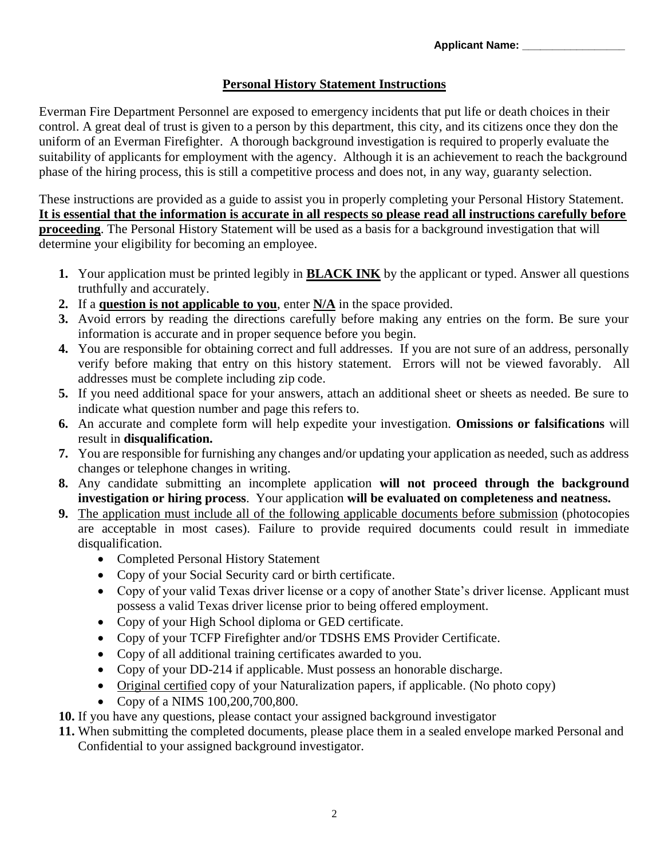# **Personal History Statement Instructions**

Everman Fire Department Personnel are exposed to emergency incidents that put life or death choices in their control. A great deal of trust is given to a person by this department, this city, and its citizens once they don the uniform of an Everman Firefighter. A thorough background investigation is required to properly evaluate the suitability of applicants for employment with the agency. Although it is an achievement to reach the background phase of the hiring process, this is still a competitive process and does not, in any way, guaranty selection.

These instructions are provided as a guide to assist you in properly completing your Personal History Statement. **It is essential that the information is accurate in all respects so please read all instructions carefully before proceeding**. The Personal History Statement will be used as a basis for a background investigation that will determine your eligibility for becoming an employee.

- **1.** Your application must be printed legibly in **BLACK INK** by the applicant or typed. Answer all questions truthfully and accurately.
- **2.** If a **question is not applicable to you**, enter **N/A** in the space provided.
- **3.** Avoid errors by reading the directions carefully before making any entries on the form. Be sure your information is accurate and in proper sequence before you begin.
- **4.** You are responsible for obtaining correct and full addresses. If you are not sure of an address, personally verify before making that entry on this history statement. Errors will not be viewed favorably. All addresses must be complete including zip code.
- **5.** If you need additional space for your answers, attach an additional sheet or sheets as needed. Be sure to indicate what question number and page this refers to.
- **6.** An accurate and complete form will help expedite your investigation. **Omissions or falsifications** will result in **disqualification.**
- **7.** You are responsible for furnishing any changes and/or updating your application as needed, such as address changes or telephone changes in writing.
- **8.** Any candidate submitting an incomplete application **will not proceed through the background investigation or hiring process**. Your application **will be evaluated on completeness and neatness.**
- **9.** The application must include all of the following applicable documents before submission (photocopies are acceptable in most cases). Failure to provide required documents could result in immediate disqualification.
	- Completed Personal History Statement
	- Copy of your Social Security card or birth certificate.
	- Copy of your valid Texas driver license or a copy of another State's driver license. Applicant must possess a valid Texas driver license prior to being offered employment.
	- Copy of your High School diploma or GED certificate.
	- Copy of your TCFP Firefighter and/or TDSHS EMS Provider Certificate.
	- Copy of all additional training certificates awarded to you.
	- Copy of your DD-214 if applicable. Must possess an honorable discharge.
	- Original certified copy of your Naturalization papers, if applicable. (No photo copy)
	- Copy of a NIMS 100,200,700,800.
- **10.** If you have any questions, please contact your assigned background investigator
- **11.** When submitting the completed documents, please place them in a sealed envelope marked Personal and Confidential to your assigned background investigator.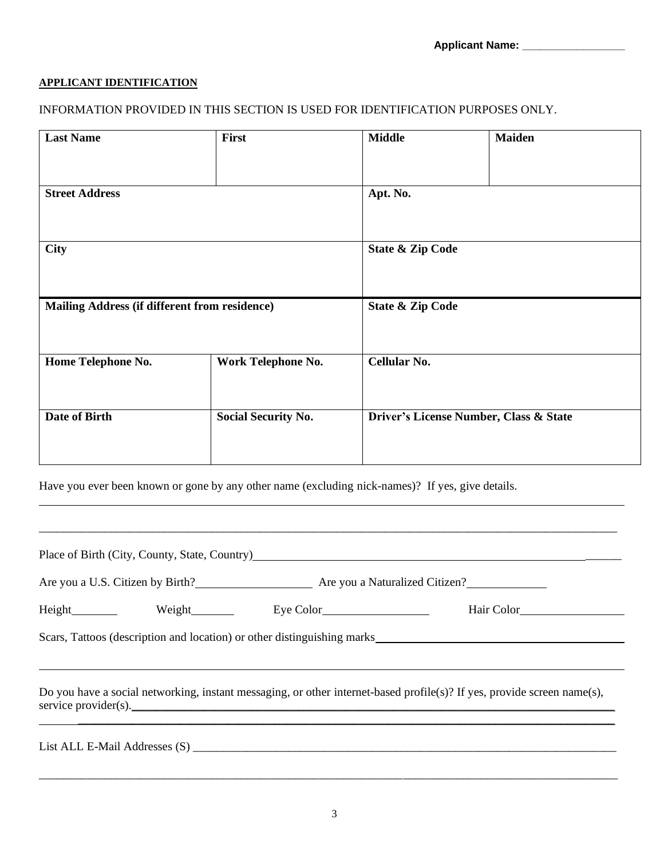### **APPLICANT IDENTIFICATION**

# INFORMATION PROVIDED IN THIS SECTION IS USED FOR IDENTIFICATION PURPOSES ONLY.

| <b>Last Name</b>                              | First                      | <b>Middle</b>                          | <b>Maiden</b> |
|-----------------------------------------------|----------------------------|----------------------------------------|---------------|
|                                               |                            |                                        |               |
| <b>Street Address</b>                         |                            | Apt. No.                               |               |
|                                               |                            |                                        |               |
| <b>City</b>                                   |                            | <b>State &amp; Zip Code</b>            |               |
|                                               |                            |                                        |               |
| Mailing Address (if different from residence) |                            | <b>State &amp; Zip Code</b>            |               |
|                                               |                            |                                        |               |
| Home Telephone No.                            | Work Telephone No.         | <b>Cellular No.</b>                    |               |
|                                               |                            |                                        |               |
| Date of Birth                                 | <b>Social Security No.</b> | Driver's License Number, Class & State |               |
|                                               |                            |                                        |               |

Have you ever been known or gone by any other name (excluding nick-names)? If yes, give details.

|                                                                    |  |                         | Place of Birth (City, County, State, Country)<br><u>Department</u>                                                      |
|--------------------------------------------------------------------|--|-------------------------|-------------------------------------------------------------------------------------------------------------------------|
| Are you a U.S. Citizen by Birth?<br>Are you a Naturalized Citizen? |  |                         |                                                                                                                         |
|                                                                    |  | Height Weight Eye Color | Hair Color                                                                                                              |
|                                                                    |  |                         |                                                                                                                         |
|                                                                    |  | service provider(s).    | Do you have a social networking, instant messaging, or other internet-based profile(s)? If yes, provide screen name(s), |
|                                                                    |  |                         |                                                                                                                         |

\_\_\_\_\_\_\_\_\_\_\_\_\_\_\_\_\_\_\_\_\_\_\_\_\_\_\_\_\_\_\_\_\_\_\_\_\_\_\_\_\_\_\_\_\_\_\_\_\_\_\_\_\_\_\_\_\_\_\_\_\_\_\_\_\_\_\_\_\_\_\_\_\_\_\_\_\_\_\_\_\_\_\_\_\_\_\_\_\_\_\_\_\_\_\_\_\_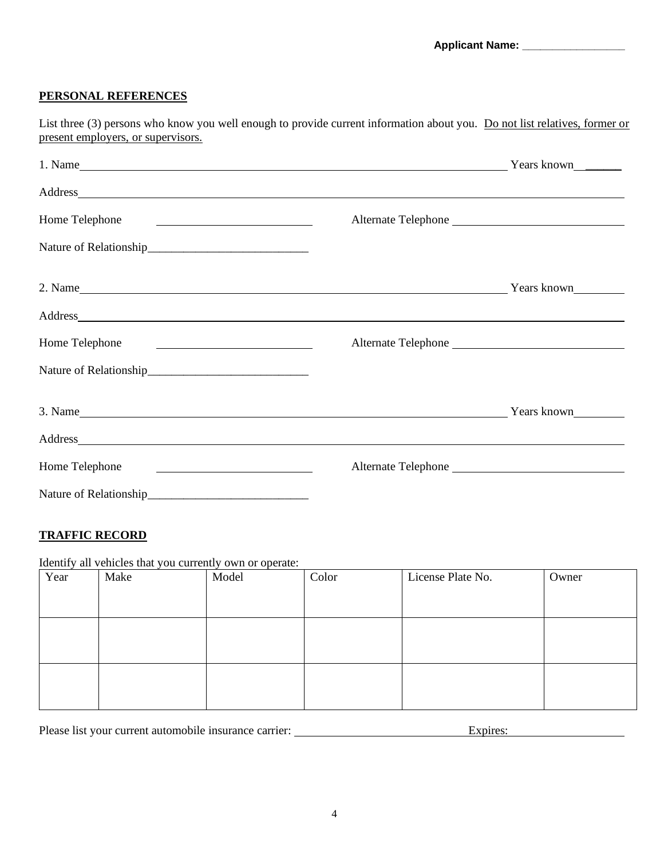#### **PERSONAL REFERENCES**

| List three (3) persons who know you well enough to provide current information about you. Do not list relatives, former or |  |
|----------------------------------------------------------------------------------------------------------------------------|--|
| present employers, or supervisors.                                                                                         |  |

| Home Telephone<br><u> 1989 - Johann Barnett, fransk politiker (d. 1989)</u>            |  |
|----------------------------------------------------------------------------------------|--|
|                                                                                        |  |
| 2. Name Years known                                                                    |  |
|                                                                                        |  |
| Home Telephone<br><u> 1986 - Johann Barbara, martin da kasar Amerikaansk politik (</u> |  |
|                                                                                        |  |
| 3. Name Years known                                                                    |  |
|                                                                                        |  |
| Home Telephone<br><u> 1989 - Johann Stein, mars an deus Amerikaansk kommunister (</u>  |  |
|                                                                                        |  |

### **TRAFFIC RECORD**

Identify all vehicles that you currently own or operate:

| Year | Make | Model | Color | License Plate No. | Owner |
|------|------|-------|-------|-------------------|-------|
|      |      |       |       |                   |       |
|      |      |       |       |                   |       |
|      |      |       |       |                   |       |
|      |      |       |       |                   |       |
|      |      |       |       |                   |       |
|      |      |       |       |                   |       |
|      |      |       |       |                   |       |
|      |      |       |       |                   |       |

Please list your current automobile insurance carrier: Expires: Expires: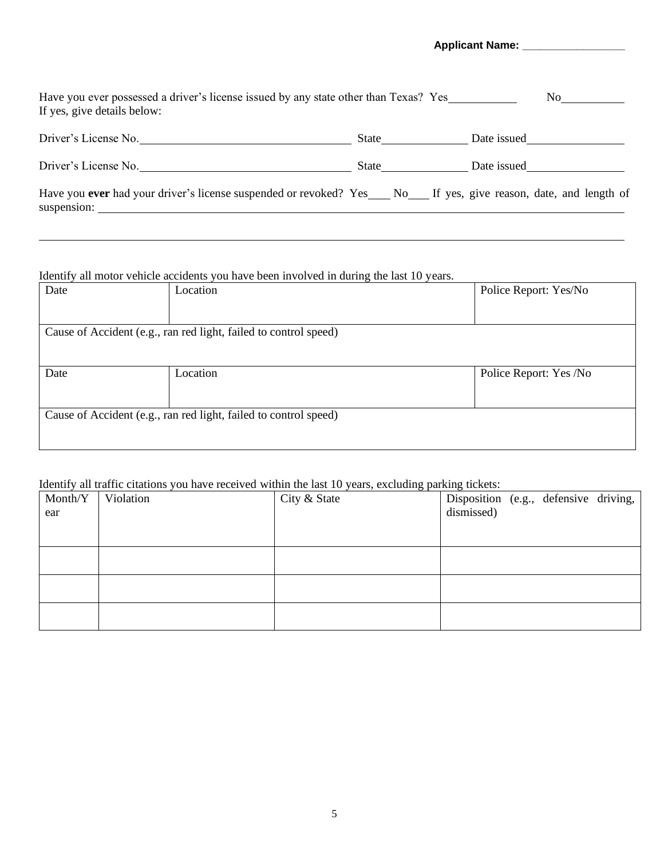| Have you ever possessed a driver's license issued by any state other than Texas? Yes<br>If yes, give details below:          |       | No -        |
|------------------------------------------------------------------------------------------------------------------------------|-------|-------------|
| Driver's License No.                                                                                                         | State | Date issued |
| Driver's License No.                                                                                                         | State | Date issued |
| Have you ever had your driver's license suspended or revoked? Yes No If yes, give reason, date, and length of<br>suspension: |       |             |

#### Identify all motor vehicle accidents you have been involved in during the last 10 years.

| Date                                                             | Location                                                         | Police Report: Yes/No  |  |  |
|------------------------------------------------------------------|------------------------------------------------------------------|------------------------|--|--|
|                                                                  |                                                                  |                        |  |  |
|                                                                  | Cause of Accident (e.g., ran red light, failed to control speed) |                        |  |  |
|                                                                  |                                                                  |                        |  |  |
| Date                                                             | Location                                                         | Police Report: Yes /No |  |  |
|                                                                  |                                                                  |                        |  |  |
| Cause of Accident (e.g., ran red light, failed to control speed) |                                                                  |                        |  |  |
|                                                                  |                                                                  |                        |  |  |

## Identify all traffic citations you have received within the last 10 years, excluding parking tickets:

|         | Return of the commons you have received whill the hot To years, excluding parking trencis. |              |                                       |
|---------|--------------------------------------------------------------------------------------------|--------------|---------------------------------------|
| Month/Y | Violation                                                                                  | City & State | Disposition (e.g., defensive driving, |
| ear     |                                                                                            |              | dismissed)                            |
|         |                                                                                            |              |                                       |
|         |                                                                                            |              |                                       |
|         |                                                                                            |              |                                       |
|         |                                                                                            |              |                                       |
|         |                                                                                            |              |                                       |
|         |                                                                                            |              |                                       |
|         |                                                                                            |              |                                       |
|         |                                                                                            |              |                                       |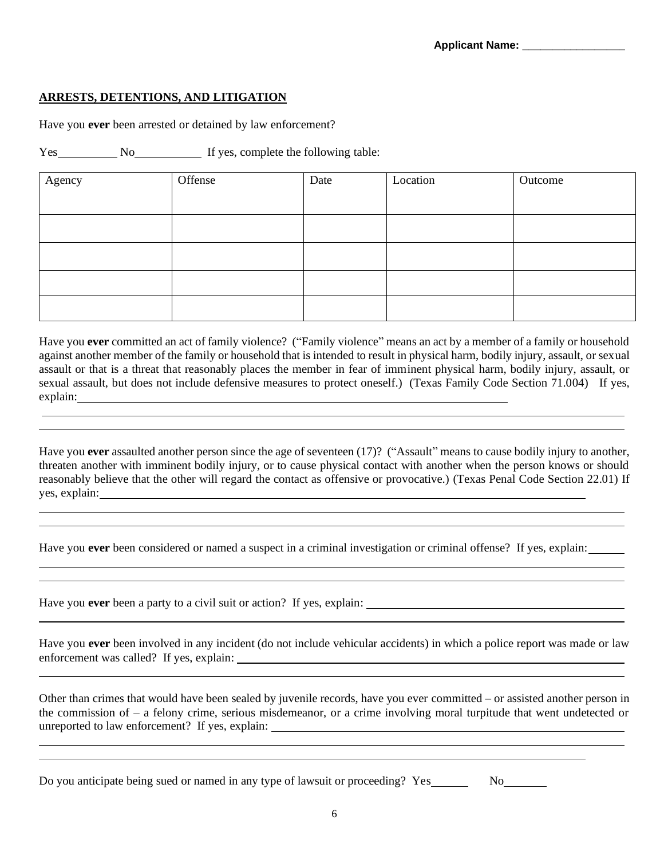#### **ARRESTS, DETENTIONS, AND LITIGATION**

Have you **ever** been arrested or detained by law enforcement?

Yes No No If yes, complete the following table:

| Agency | Offense | Date | Location | Outcome |
|--------|---------|------|----------|---------|
|        |         |      |          |         |
|        |         |      |          |         |
|        |         |      |          |         |
|        |         |      |          |         |
|        |         |      |          |         |

Have you **ever** committed an act of family violence? ("Family violence" means an act by a member of a family or household against another member of the family or household that is intended to result in physical harm, bodily injury, assault, or sexual assault or that is a threat that reasonably places the member in fear of imminent physical harm, bodily injury, assault, or sexual assault, but does not include defensive measures to protect oneself.) (Texas Family Code Section 71.004) If yes, explain:

Have you **ever** assaulted another person since the age of seventeen (17)? ("Assault" means to cause bodily injury to another, threaten another with imminent bodily injury, or to cause physical contact with another when the person knows or should reasonably believe that the other will regard the contact as offensive or provocative.) (Texas Penal Code Section 22.01) If yes, explain:

Have you **ever** been considered or named a suspect in a criminal investigation or criminal offense? If yes, explain:

Have you **ever** been a party to a civil suit or action? If yes, explain: \_\_\_\_\_\_\_\_\_

Have you **ever** been involved in any incident (do not include vehicular accidents) in which a police report was made or law enforcement was called? If yes, explain:

Other than crimes that would have been sealed by juvenile records, have you ever committed – or assisted another person in the commission of – a felony crime, serious misdemeanor, or a crime involving moral turpitude that went undetected or unreported to law enforcement? If yes, explain:

l

Do you anticipate being sued or named in any type of lawsuit or proceeding? Yes No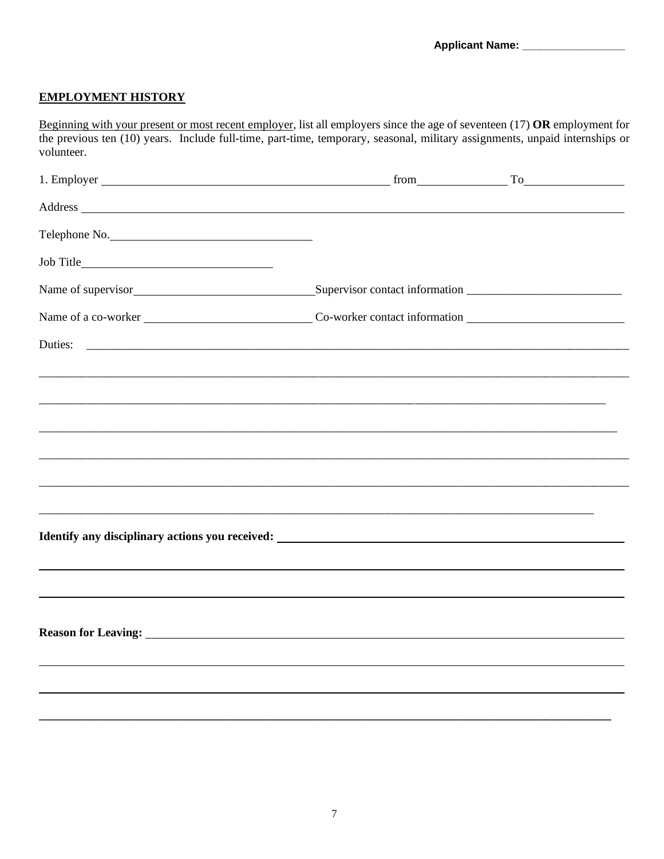# **EMPLOYMENT HISTORY**

Beginning with your present or most recent employer, list all employers since the age of seventeen (17) **OR** employment for the previous ten (10) years. Include full-time, part-time, temporary, seasonal, military assignments, unpaid internships or volunteer.

|                                                                                                                                                                                                                                |  | $from$ $To$ $To$ |
|--------------------------------------------------------------------------------------------------------------------------------------------------------------------------------------------------------------------------------|--|------------------|
| Address and the contract of the contract of the contract of the contract of the contract of the contract of the contract of the contract of the contract of the contract of the contract of the contract of the contract of th |  |                  |
| Telephone No.                                                                                                                                                                                                                  |  |                  |
|                                                                                                                                                                                                                                |  |                  |
|                                                                                                                                                                                                                                |  |                  |
|                                                                                                                                                                                                                                |  |                  |
| Duties:                                                                                                                                                                                                                        |  |                  |
|                                                                                                                                                                                                                                |  |                  |
|                                                                                                                                                                                                                                |  |                  |
|                                                                                                                                                                                                                                |  |                  |
| <u> 1990 - Johann Stoff, amerikan bestein de stad in de stad in de stad in de stad in de stad in de stad in de st</u>                                                                                                          |  |                  |
|                                                                                                                                                                                                                                |  |                  |
|                                                                                                                                                                                                                                |  |                  |
| Identify any disciplinary actions you received: The material contract of the state of the state of the state of the state of the state of the state of the state of the state of the state of the state of the state of the st |  |                  |
|                                                                                                                                                                                                                                |  |                  |
|                                                                                                                                                                                                                                |  |                  |
|                                                                                                                                                                                                                                |  |                  |
| Reason for Leaving: New York Changes and Security and Security and Security and Security and Security and Security and Security and Security and Security and Security and Security and Security and Security and Security and |  |                  |
|                                                                                                                                                                                                                                |  |                  |
|                                                                                                                                                                                                                                |  |                  |
|                                                                                                                                                                                                                                |  |                  |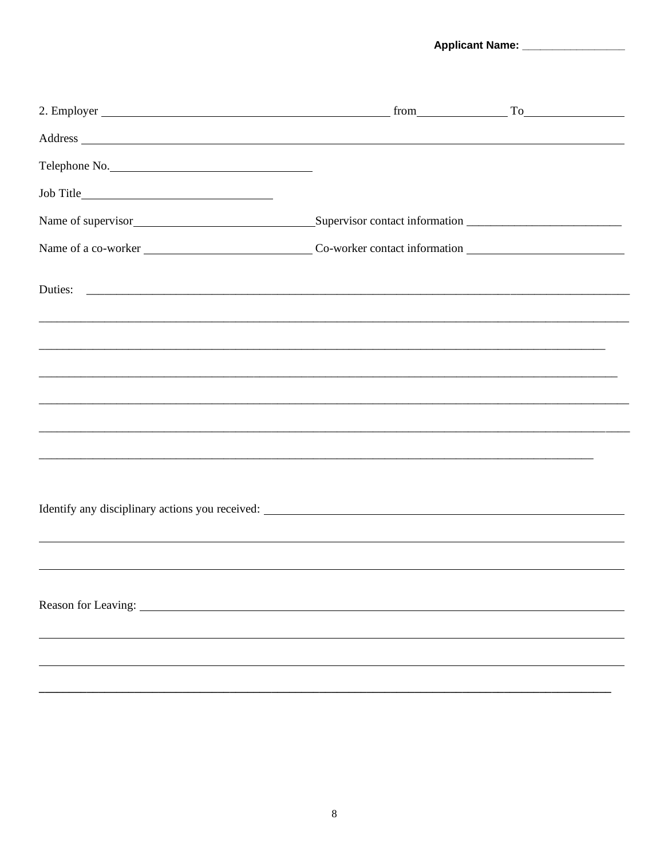Applicant Name: \_\_\_\_\_\_\_\_\_\_\_\_\_\_\_\_

| 2. Employer                                                                                                                                                                                                                                                     |  | $from$ $To$ $To$ |
|-----------------------------------------------------------------------------------------------------------------------------------------------------------------------------------------------------------------------------------------------------------------|--|------------------|
| Address and the contract of the contract of the contract of the contract of the contract of the contract of the contract of the contract of the contract of the contract of the contract of the contract of the contract of th                                  |  |                  |
| Telephone No.                                                                                                                                                                                                                                                   |  |                  |
|                                                                                                                                                                                                                                                                 |  |                  |
| Name of supervisor<br>Supervisor contact information<br><u>Supervisor</u><br>Supervisor contact information<br>Supervisor<br>Supervisor<br>Supervisor<br>Supervisor<br>Supervisor<br>Supervisor<br>Supervisor<br>Supervisor<br>Supervisor<br>Supervisor<br>Supe |  |                  |
|                                                                                                                                                                                                                                                                 |  |                  |
|                                                                                                                                                                                                                                                                 |  |                  |
|                                                                                                                                                                                                                                                                 |  |                  |
| <u> 1980 - Johann Stoff, deutscher Stoff, der Stoff, der Stoff, der Stoff, der Stoff, der Stoff, der Stoff, der S</u>                                                                                                                                           |  |                  |
|                                                                                                                                                                                                                                                                 |  |                  |
|                                                                                                                                                                                                                                                                 |  |                  |
|                                                                                                                                                                                                                                                                 |  |                  |
| <u> 1989 - Johann Barn, Amerikaansk politiker (* 1908)</u>                                                                                                                                                                                                      |  |                  |
|                                                                                                                                                                                                                                                                 |  |                  |
| Identify any disciplinary actions you received:<br><u>example and</u> the state of the state of the state of the state of the state of the state of the state of the state of the state of the state of the state of the state of the                           |  |                  |
|                                                                                                                                                                                                                                                                 |  |                  |
|                                                                                                                                                                                                                                                                 |  |                  |
|                                                                                                                                                                                                                                                                 |  |                  |
| Reason for Leaving: University of the same state of the state of the state of the state of the state of the state of the state of the state of the state of the state of the state of the state of the state of the state of t                                  |  |                  |
|                                                                                                                                                                                                                                                                 |  |                  |
|                                                                                                                                                                                                                                                                 |  |                  |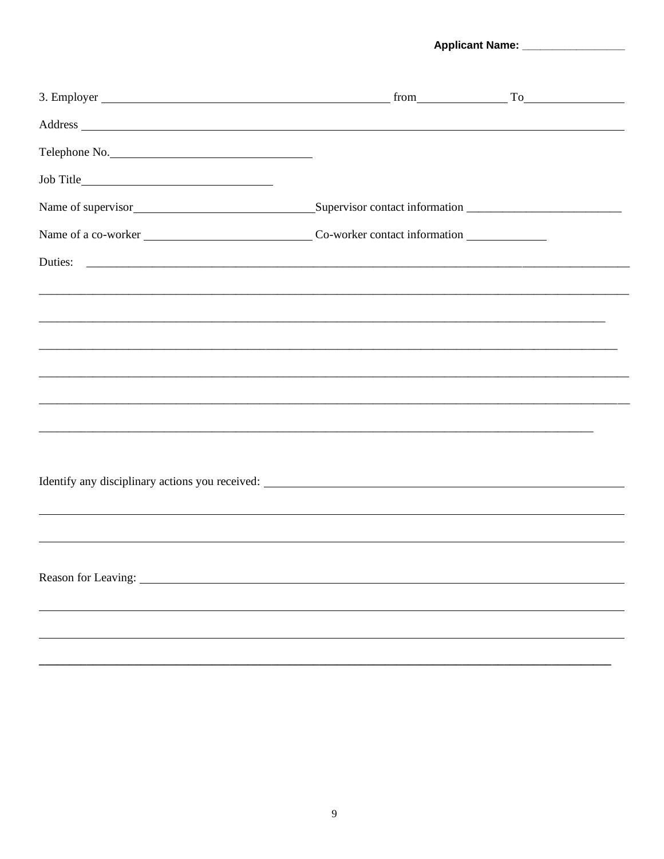Applicant Name: \_\_\_\_\_\_\_\_\_\_\_\_\_\_\_\_\_\_

| Address and the contract of the contract of the contract of the contract of the contract of the contract of the contract of the contract of the contract of the contract of the contract of the contract of the contract of th |  |
|--------------------------------------------------------------------------------------------------------------------------------------------------------------------------------------------------------------------------------|--|
| Telephone No.                                                                                                                                                                                                                  |  |
|                                                                                                                                                                                                                                |  |
| Name of supervisor<br>Supervisor contact information<br><u>Supervisor contact information</u>                                                                                                                                  |  |
|                                                                                                                                                                                                                                |  |
| Duties:                                                                                                                                                                                                                        |  |
|                                                                                                                                                                                                                                |  |
|                                                                                                                                                                                                                                |  |
|                                                                                                                                                                                                                                |  |
|                                                                                                                                                                                                                                |  |
|                                                                                                                                                                                                                                |  |
|                                                                                                                                                                                                                                |  |
|                                                                                                                                                                                                                                |  |
|                                                                                                                                                                                                                                |  |
|                                                                                                                                                                                                                                |  |
|                                                                                                                                                                                                                                |  |
|                                                                                                                                                                                                                                |  |
| Reason for Leaving: 1988. The Contract of Leaving Contract of Leaving Contract of Leaving Contract of Leaving Contract of Leaving Contract of Leaving Contract of Leaving Contract of Leaving Contract of Leaving Contract of  |  |
|                                                                                                                                                                                                                                |  |
|                                                                                                                                                                                                                                |  |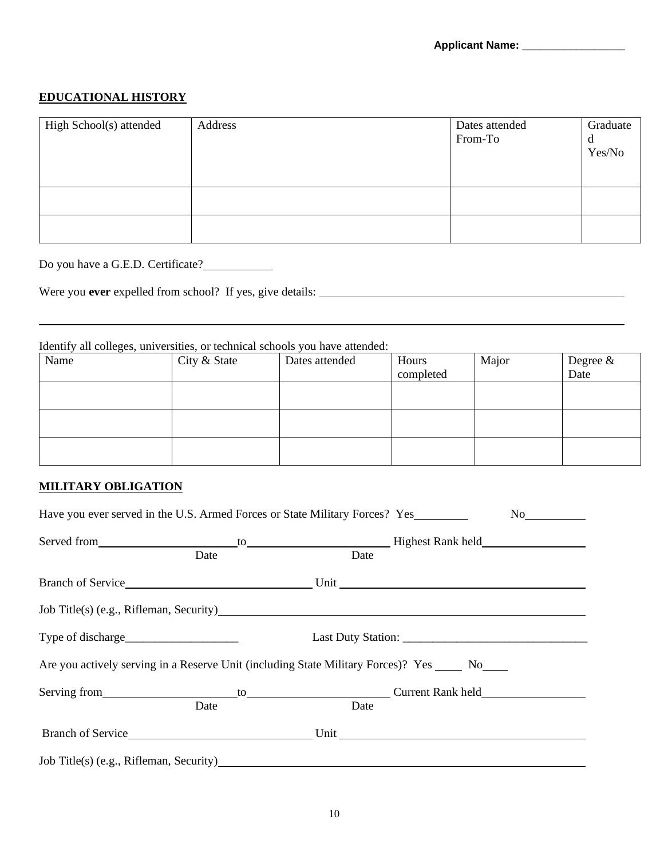## **EDUCATIONAL HISTORY**

| High School(s) attended | Address | Dates attended<br>From-To | Graduate<br>a<br>Yes/No |
|-------------------------|---------|---------------------------|-------------------------|
|                         |         |                           |                         |
|                         |         |                           |                         |

Do you have a G.E.D. Certificate?

Were you **ever** expelled from school? If yes, give details:

## Identify all colleges, universities, or technical schools you have attended:

| Name | City & State | Dates attended | Hours<br>completed | Major | Degree &<br>Date |
|------|--------------|----------------|--------------------|-------|------------------|
|      |              |                |                    |       |                  |
|      |              |                |                    |       |                  |
|      |              |                |                    |       |                  |

#### **MILITARY OBLIGATION**

|                                                                                                | Date | Date |                                                                      |
|------------------------------------------------------------------------------------------------|------|------|----------------------------------------------------------------------|
|                                                                                                |      |      | Branch of Service Unit Unit Unit Constant Constant Orange of Service |
| Job Title(s) (e.g., Rifleman, Security)                                                        |      |      |                                                                      |
|                                                                                                |      |      |                                                                      |
| Are you actively serving in a Reserve Unit (including State Military Forces)? Yes _____ No____ |      |      |                                                                      |
|                                                                                                |      |      |                                                                      |
|                                                                                                | Date | Date |                                                                      |
|                                                                                                |      |      |                                                                      |
| Job Title(s) (e.g., Rifleman, Security)                                                        |      |      |                                                                      |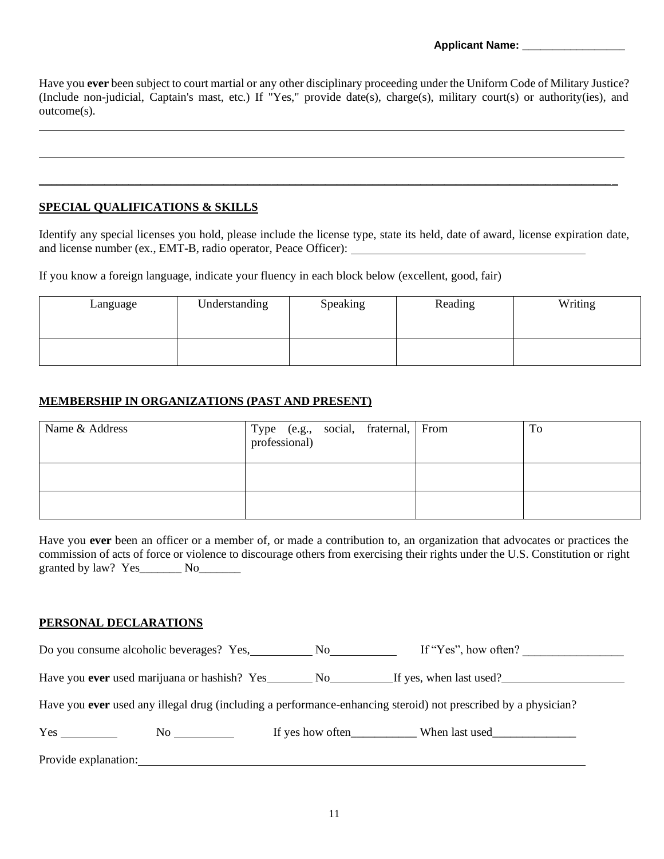Have you **ever** been subject to court martial or any other disciplinary proceeding under the Uniform Code of Military Justice? (Include non-judicial, Captain's mast, etc.) If "Yes," provide date(s), charge(s), military court(s) or authority(ies), and outcome(s).

#### **SPECIAL QUALIFICATIONS & SKILLS**

Identify any special licenses you hold, please include the license type, state its held, date of award, license expiration date, and license number (ex., EMT-B, radio operator, Peace Officer):

\_\_\_\_\_\_\_\_\_\_\_\_\_\_\_\_\_\_\_\_\_\_\_\_\_\_\_\_\_\_\_\_\_\_\_\_\_\_\_\_\_\_\_\_\_\_\_\_\_\_\_\_\_\_\_\_\_\_\_\_\_\_\_\_\_\_\_\_\_\_\_\_\_\_\_\_\_\_\_\_\_\_\_\_\_\_\_\_\_\_\_\_\_\_\_\_\_

If you know a foreign language, indicate your fluency in each block below (excellent, good, fair)

| Language | Understanding | Speaking | Reading | Writing |
|----------|---------------|----------|---------|---------|
|          |               |          |         |         |

#### **MEMBERSHIP IN ORGANIZATIONS (PAST AND PRESENT)**

| Name & Address | Type (e.g., social, fraternal, From professional) |  | To |
|----------------|---------------------------------------------------|--|----|
|                |                                                   |  |    |
|                |                                                   |  |    |

Have you **ever** been an officer or a member of, or made a contribution to, an organization that advocates or practices the commission of acts of force or violence to discourage others from exercising their rights under the U.S. Constitution or right granted by law? Yes No

#### **PERSONAL DECLARATIONS**

Do you consume alcoholic beverages? Yes, No If "Yes", how often?

Have you **ever** used marijuana or hashish? Yes No If yes, when last used?

Have you **ever** used any illegal drug (including a performance-enhancing steroid) not prescribed by a physician?

| $ -$<br>Yes | N. | ves how often | last used<br>When |
|-------------|----|---------------|-------------------|
|             |    |               |                   |

Provide explanation: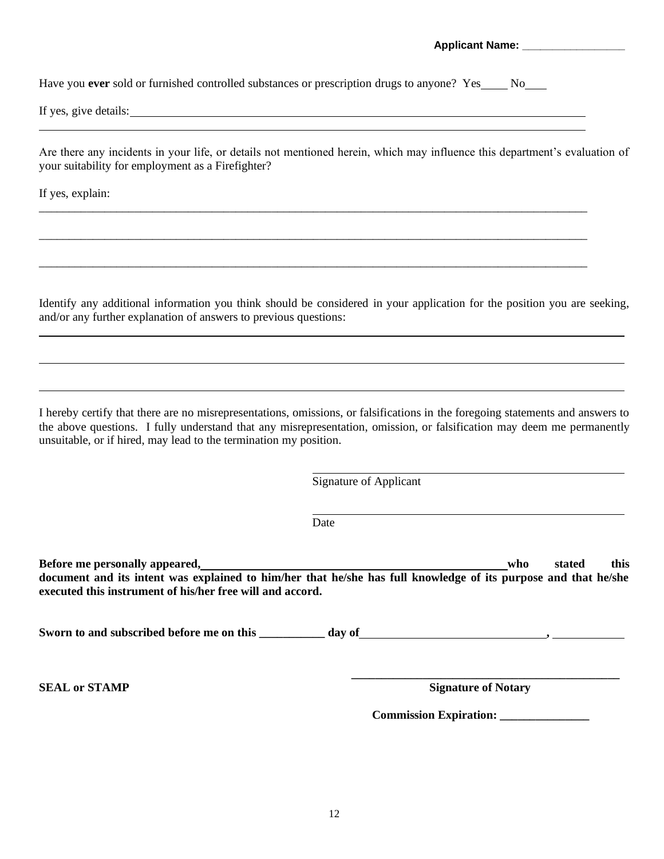**Applicant Name: \_\_\_\_\_\_\_\_\_\_\_\_\_\_\_\_\_**

Have you **ever** sold or furnished controlled substances or prescription drugs to anyone? Yes No

If yes, give details: <u>experience</u> and the set of year and the set of year and the set of year and the set of year and the set of year and the set of year and the set of year and the set of year and the set of year and the

Are there any incidents in your life, or details not mentioned herein, which may influence this department's evaluation of your suitability for employment as a Firefighter?

If yes, explain:

Identify any additional information you think should be considered in your application for the position you are seeking, and/or any further explanation of answers to previous questions:

\_\_\_\_\_\_\_\_\_\_\_\_\_\_\_\_\_\_\_\_\_\_\_\_\_\_\_\_\_\_\_\_\_\_\_\_\_\_\_\_\_\_\_\_\_\_\_\_\_\_\_\_\_\_\_\_\_\_\_\_\_\_\_\_\_\_\_\_\_\_\_\_\_\_\_\_\_\_\_\_\_\_\_\_\_\_\_\_\_\_\_\_

\_\_\_\_\_\_\_\_\_\_\_\_\_\_\_\_\_\_\_\_\_\_\_\_\_\_\_\_\_\_\_\_\_\_\_\_\_\_\_\_\_\_\_\_\_\_\_\_\_\_\_\_\_\_\_\_\_\_\_\_\_\_\_\_\_\_\_\_\_\_\_\_\_\_\_\_\_\_\_\_\_\_\_\_\_\_\_\_\_\_\_\_

I hereby certify that there are no misrepresentations, omissions, or falsifications in the foregoing statements and answers to the above questions. I fully understand that any misrepresentation, omission, or falsification may deem me permanently unsuitable, or if hired, may lead to the termination my position.

Signature of Applicant

Date

**Before me personally appeared, who** stated this **who** stated this **document and its intent was explained to him/her that he/she has full knowledge of its purpose and that he/she executed this instrument of his/her free will and accord.**

**Sworn to and subscribed before me on this \_\_\_\_\_\_\_\_\_\_\_ day of ,** 

**\_\_\_\_\_\_\_\_\_\_\_\_\_\_\_\_\_\_\_\_\_\_\_\_\_\_\_\_\_\_\_\_\_\_\_\_\_\_\_\_\_\_\_\_\_ SEAL** or STAMP **STAMP Signature of Notary** 

 **Commission Expiration: \_\_\_\_\_\_\_\_\_\_\_\_\_\_\_**